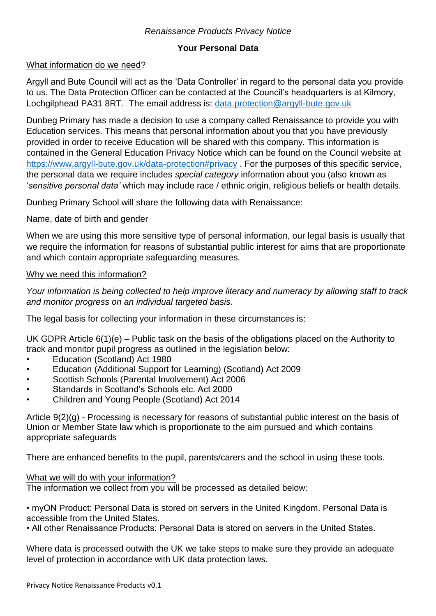## *Renaissance Products Privacy Notice*

## **Your Personal Data**

### What information do we need?

Argyll and Bute Council will act as the 'Data Controller' in regard to the personal data you provide to us. The Data Protection Officer can be contacted at the Council's headquarters is at Kilmory, Lochgilphead PA31 8RT. The email address is: [data.protection@argyll-bute.gov.uk](mailto:data.protection@argyll-bute.gov.uk)

Dunbeg Primary has made a decision to use a company called Renaissance to provide you with Education services. This means that personal information about you that you have previously provided in order to receive Education will be shared with this company. This information is contained in the General Education Privacy Notice which can be found on the Council website at <https://www.argyll-bute.gov.uk/data-protection#privacy> . For the purposes of this specific service, the personal data we require includes *special category* information about you (also known as '*sensitive personal data'* which may include race / ethnic origin, religious beliefs or health details.

Dunbeg Primary School will share the following data with Renaissance:

Name, date of birth and gender

When we are using this more sensitive type of personal information, our legal basis is usually that we require the information for reasons of substantial public interest for aims that are proportionate and which contain appropriate safeguarding measures.

### Why we need this information?

*Your information is being collected to help improve literacy and numeracy by allowing staff to track and monitor progress on an individual targeted basis.*

The legal basis for collecting your information in these circumstances is:

UK GDPR Article 6(1)(e) – Public task on the basis of the obligations placed on the Authority to track and monitor pupil progress as outlined in the legislation below:

- Education (Scotland) Act 1980
- Education (Additional Support for Learning) (Scotland) Act 2009
- Scottish Schools (Parental Involvement) Act 2006
- Standards in Scotland's Schools etc. Act 2000
- Children and Young People (Scotland) Act 2014

Article 9(2)(g) - Processing is necessary for reasons of substantial public interest on the basis of Union or Member State law which is proportionate to the aim pursued and which contains appropriate safeguards

There are enhanced benefits to the pupil, parents/carers and the school in using these tools.

#### What we will do with your information?

The information we collect from you will be processed as detailed below:

• myON Product: Personal Data is stored on servers in the United Kingdom. Personal Data is accessible from the United States.

• All other Renaissance Products: Personal Data is stored on servers in the United States.

Where data is processed outwith the UK we take steps to make sure they provide an adequate level of protection in accordance with UK data protection laws.